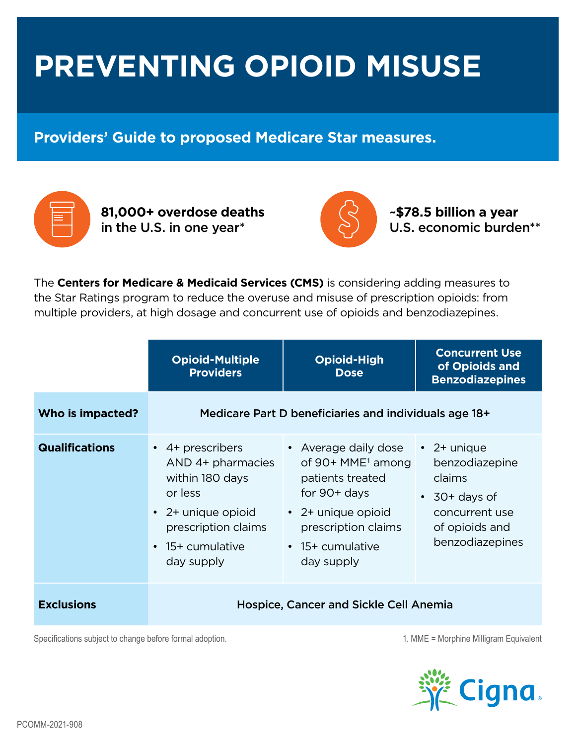## **PREVENTING OPIOID MISUSE**

## **Providers' Guide to proposed Medicare Star measures.**



**81,000+ overdose deaths**  in the U.S. in one year\*



**~\$78.5 billion a year**  U.S. economic burden\*\*

The **Centers for Medicare & Medicaid Services (CMS)** is considering adding measures to the Star Ratings program to reduce the overuse and misuse of prescription opioids: from multiple providers, at high dosage and concurrent use of opioids and benzodiazepines.

|                       | <b>Opioid-Multiple</b><br><b>Providers</b>                                                                                                               | <b>Opioid-High</b><br><b>Dose</b>                                                                                                                                                | <b>Concurrent Use</b><br>of Opioids and<br><b>Benzodiazepines</b>                                                           |
|-----------------------|----------------------------------------------------------------------------------------------------------------------------------------------------------|----------------------------------------------------------------------------------------------------------------------------------------------------------------------------------|-----------------------------------------------------------------------------------------------------------------------------|
| Who is impacted?      |                                                                                                                                                          | Medicare Part D beneficiaries and individuals age 18+                                                                                                                            |                                                                                                                             |
| <b>Qualifications</b> | • 4+ prescribers<br>AND 4+ pharmacies<br>within 180 days<br>or less<br>• 2+ unique opioid<br>prescription claims<br>$\cdot$ 15+ cumulative<br>day supply | • Average daily dose<br>of 90+ MME <sup>1</sup> among<br>patients treated<br>for $90+$ days<br>$\cdot$ 2+ unique opioid<br>prescription claims<br>• 15+ cumulative<br>day supply | $\cdot$ 2+ unique<br>benzodiazepine<br>claims<br>$\cdot$ 30+ days of<br>concurrent use<br>of opioids and<br>benzodiazepines |
| <b>Exclusions</b>     |                                                                                                                                                          | <b>Hospice, Cancer and Sickle Cell Anemia</b>                                                                                                                                    |                                                                                                                             |

Specifications subject to change before formal adoption. 1. MME = Morphine Milligram Equivalent